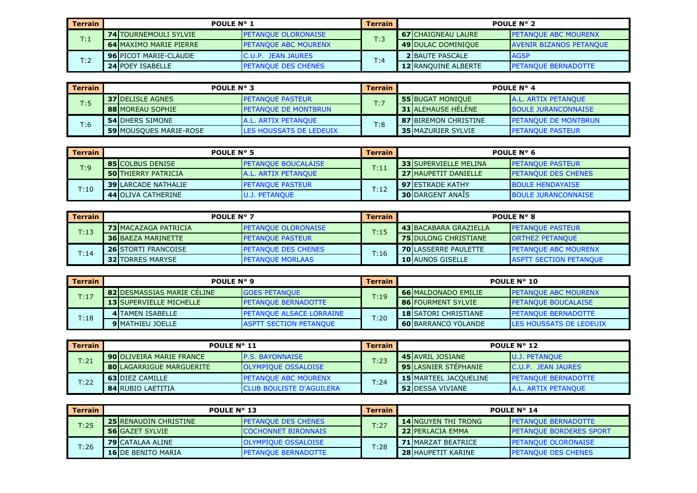| <b>Terrain</b> | <b>POULE N° 1</b>             |                              | <b>Terrain</b> | <b>POULE N° 2</b> |                            |                                |
|----------------|-------------------------------|------------------------------|----------------|-------------------|----------------------------|--------------------------------|
| T:1            | <b>74 TOURNEMOULI SYLVIE</b>  | <b>IPETANOUE OLORONAISE</b>  | T:3            |                   | <b>67 CHAIGNEAU LAURE</b>  | <b>IPETANOUE ABC MOURENX</b>   |
|                | <b>64 MAXIMO MARIE PIERRE</b> | <b>IPETANOUE ABC MOURENX</b> |                |                   | <b>49 DULAC DOMINIOUE</b>  | <b>AVENIR BIZANOS PETANOUE</b> |
| T:2            | <b>96 PICOT MARIE-CLAUDE</b>  | C.U.P. JEAN JAURES           | T:4            |                   | <b>2 BAUTE PASCALE</b>     | <b>AGSP</b>                    |
|                | <b>24 POEY ISABELLE</b>       | <b>IPETANOUE DES CHENES</b>  |                |                   | <b>12 RANQUINE ALBERTE</b> | <b>PETANQUE BERNADOTTE</b>     |

| Terrain     | <b>POULE N° 3</b>             |                                 | <b>Terrain</b> | POULE N° 4                  |                              |  |
|-------------|-------------------------------|---------------------------------|----------------|-----------------------------|------------------------------|--|
| $T \cdot 5$ | <b>37 IDELISLE AGNES</b>      | <b>PETANQUE PASTEUR</b>         | T:7            | <b>55 BUGAT MONIQUE</b>     | <b>A.L. ARTIX PETANQUE</b>   |  |
| .           | <b>88IMOREAU SOPHIE</b>       | <b>IPETANOUE DE MONTBRUN</b>    |                | <b>31 ALEHAUSE HELENE</b>   | <b>BOULE JURANCONNAISE</b>   |  |
| T:6         | <b>54 DHERS SIMONE</b>        | <b>A.L. ARTIX PETANOUE</b>      | T:8            | <b>87 BIREMON CHRISTINE</b> | <b>IPETANOUE DE MONTBRUN</b> |  |
|             | <b>59 MOUSQUES MARIE-ROSE</b> | <b>ILES HOUSSATS DE LEDEUIX</b> |                | <b>35 MAZURIER SYLVIE</b>   | <b>PETANQUE PASTEUR</b>      |  |

| <b>Terrain</b> | POULE $N^{\circ}$ 5         |                             | Terrain                | POULE $N^{\circ}$ 6 |                              |                            |
|----------------|-----------------------------|-----------------------------|------------------------|---------------------|------------------------------|----------------------------|
| T:9            | <b>85 COLBUS DENISE</b>     | <b>PETANOUE BOUCALAISE</b>  | $\mathsf{T}\text{:}11$ |                     | <b>33 SUPERVIELLE MELINA</b> | <b>IPETANOUE PASTEUR</b>   |
|                | <b>50 THIERRY PATRICIA</b>  | <b>JA.L. ARTIX PETANOUE</b> |                        |                     | <b>27 HAUPETIT DANIELLE</b>  | <b>PETANQUE DES CHENES</b> |
| T:10           | <b>39 ILARCADE NATHALIE</b> | <b>IPETANOUE PASTEUR</b>    | T:12                   |                     | <b>97IESTRADE KATHY</b>      | <b>BOULE HENDAYAISE</b>    |
|                | 44 OLIVA CATHERINE          | U.J. PETANQUE               |                        |                     | <b>30 DARGENT ANAIS</b>      | <b>BOULE JURANCONNAISE</b> |

| Terrain | <b>POULE N° 7</b>           |                            | <b>Terrain</b> | <b>POULE N° 8</b>            |                               |  |
|---------|-----------------------------|----------------------------|----------------|------------------------------|-------------------------------|--|
| T:13    | <b>73 MACAZAGA PATRICIA</b> | <b>PETANQUE OLORONAISE</b> | T:15           | <b>43 BACABARA GRAZIELLA</b> | <b>PETANQUE PASTEUR</b>       |  |
|         | <b>36 BAEZA MARINETTE</b>   | <b>PETANQUE PASTEUR</b>    |                | <b>75 IDULONG CHRISTIANE</b> | <b>ORTHEZ PETANQUE</b>        |  |
| T:14    | <b>26 STORTI FRANCOISE</b>  | <b>PETANQUE DES CHENES</b> | T:16           | <b>70 LASSERRE PAULETTE</b>  | <b>PETANQUE ABC MOURENX</b>   |  |
|         | <b>32 TORRES MARYSE</b>     | <b>IPETANOUE MORLAAS</b>   |                | <b>10 AUNOS GISELLE</b>      | <b>ASPTT SECTION PETANQUE</b> |  |

| <b>Terrain</b> |                                   | POULE N° 9<br>Terrain            |      | <b>POULE N° 10</b>           |                                 |  |
|----------------|-----------------------------------|----------------------------------|------|------------------------------|---------------------------------|--|
| T:17           | <b>82IDESMASSIAS MARIE CELINE</b> | <b>GOES PETANQUE</b>             | T:19 | <b>66 MALDONADO EMILIE</b>   | <b>PETANQUE ABC MOURENX</b>     |  |
|                | <b>13 SUPERVIELLE MICHELLE</b>    | <b>IPETANOUE BERNADOTTE</b>      |      | <b>86 FOURMENT SYLVIE</b>    | <b>PETANQUE BOUCALAISE</b>      |  |
| T:18           | <b>4ITAMEN ISABELLE</b>           | <b>IPETANOUE ALSACE LORRAINE</b> | T:20 | <b>18 ISATORI CHRISTIANE</b> | <b>IPETANOUE BERNADOTTE</b>     |  |
|                | <b>9 IMATHIEU JOELLE</b>          | <b>ASPTT SECTION PETANOUE</b>    |      | <b>60 BARRANCO YOLANDE</b>   | <b>ILES HOUSSATS DE LEDEUIX</b> |  |

| <b>Terrain</b> | <b>POULE N° 11</b>              |                                 | Terrain      | POULE N° 12 |                              |                             |
|----------------|---------------------------------|---------------------------------|--------------|-------------|------------------------------|-----------------------------|
| T:21           | <b>90 OLIVEIRA MARIE FRANCE</b> | <b>IP.S. BAYONNAISE</b>         | T:23         |             | 45 AVRIL JOSIANE             | <b>IU.J. PETANOUE</b>       |
|                | <b>80 LAGARRIGUE MARGUERITE</b> | <b>OLYMPIQUE OSSALOISE</b>      |              |             | <b>95 LASNIER STEPHANIE</b>  | IC.U.P. JEAN JAURES         |
| T:22           | <b>63 DIEZ CAMILLE</b>          | <b>IPETANOUE ABC MOURENX</b>    | $\Gamma$ :24 |             | <b>15 MARTEEL JACOUELINE</b> | <b>IPETANOUE BERNADOTTE</b> |
|                | <b>84 RUBIO LAETITIA</b>        | <b>CLUB BOULISTE D'AGUILERA</b> |              |             | <b>52 DESSA VIVIANE</b>      | <b>A.L. ARTIX PETANOUE</b>  |

| <b>Terrain</b> | <b>POULE N° 13</b>           |                             | <b>Terrain</b> | POULE N° 14                 |                                |  |
|----------------|------------------------------|-----------------------------|----------------|-----------------------------|--------------------------------|--|
| T:25           | <b>25 RENAUDIN CHRISTINE</b> | <b>IPETANOUE DES CHENES</b> | T:27           | <b>14 INGUYEN THI TRONG</b> | <b>PETANOUE BERNADOTTE</b>     |  |
|                | <b>56</b> GAZET SYLVIE       | <b>COCHONNET BIRONNAIS</b>  |                | <b>22 PERLACIA EMMA</b>     | <b>PETANQUE BORDERES SPORT</b> |  |
| T:26           | <b>79 CATALAA ALINE</b>      | <b>OLYMPIOUE OSSALOISE</b>  | T:28           | <b>71 MARZAT BEATRICE</b>   | <b>PETANOUE OLORONAISE</b>     |  |
|                | <b>16IDE BENITO MARIA</b>    | <b>IPETANOUE BERNADOTTE</b> |                | <b>28 HAUPETIT KARINE</b>   | <b>PETANOUE DES CHENES</b>     |  |